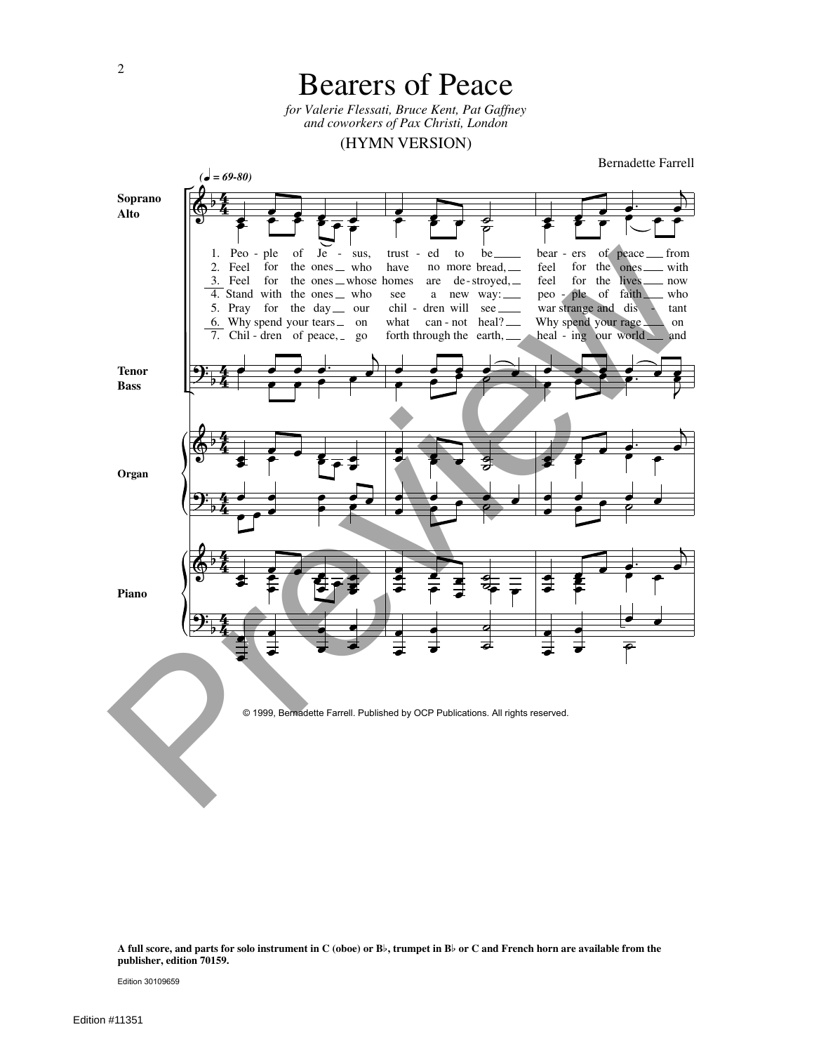

**A full score, and parts for solo instrument in C (oboe) or B**\$**, trumpet in B**\$ **or C and French horn are available from the publisher, edition 70159.**

Edition 30109659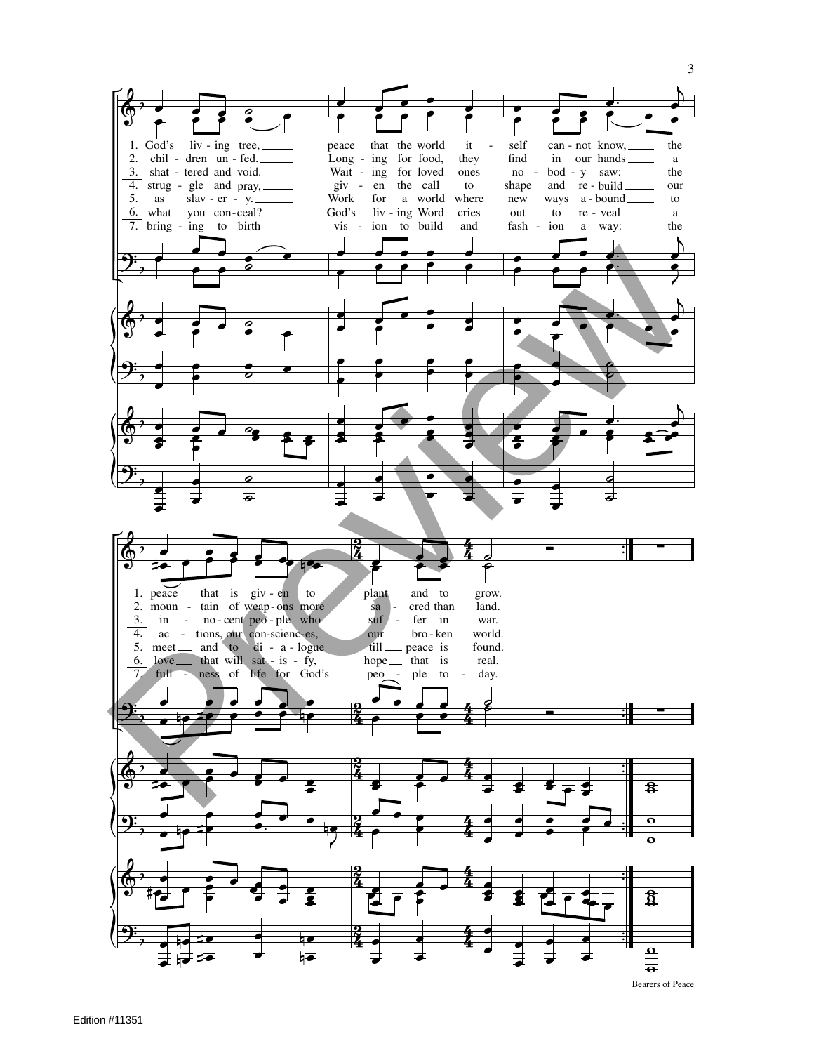

 $\overline{3}$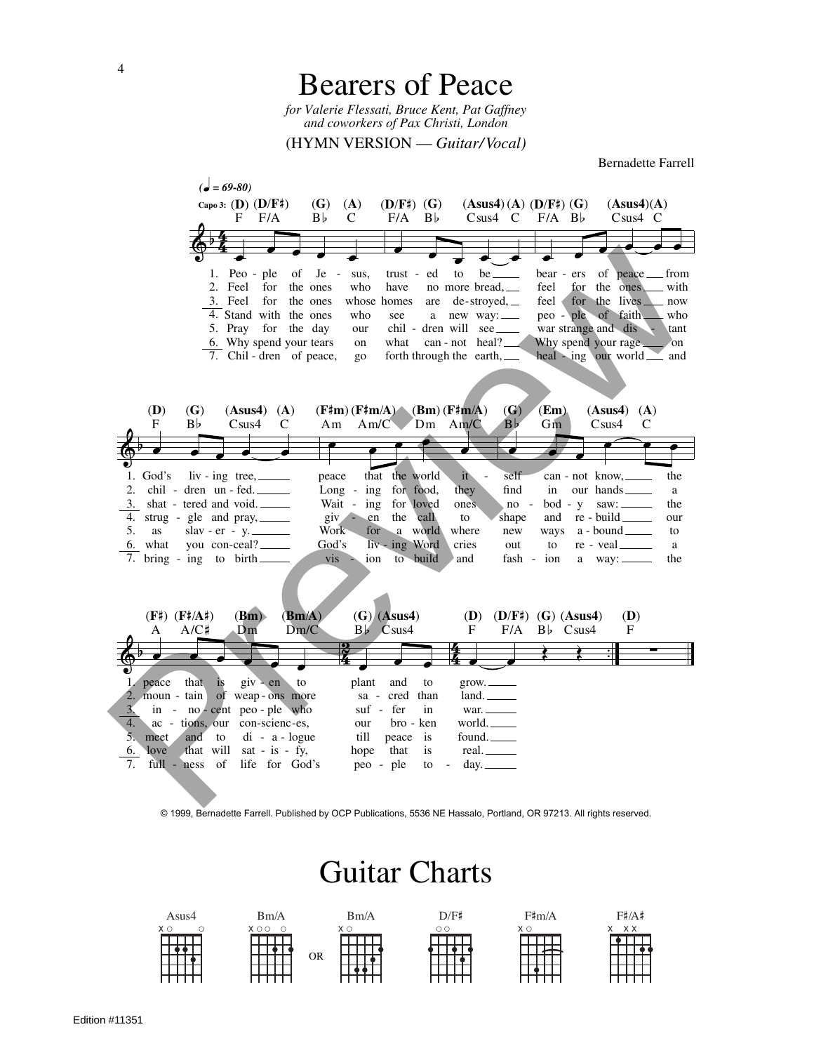

© 1999, Bernadette Farrell. Published by OCP Publications, 5536 NE Hassalo, Portland, OR 97213. All rights reserved.

## Guitar Charts

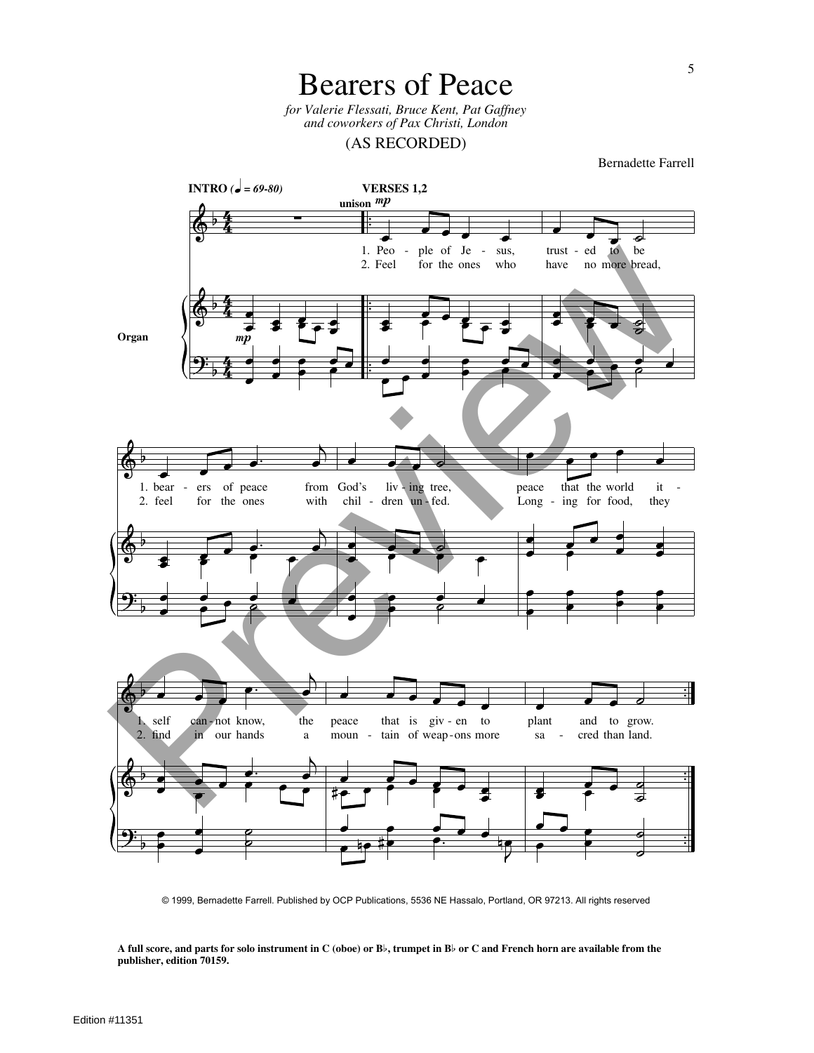Bearers of Peace

*for Valerie Flessati, Bruce Kent, Pat Gaffney and coworkers of Pax Christi, London*

(AS RECORDED)

Bernadette Farrell



© 1999, Bernadette Farrell. Published by OCP Publications, 5536 NE Hassalo, Portland, OR 97213. All rights reserved

**A full score, and parts for solo instrument in C (oboe) or B**\$**, trumpet in B**\$ **or C and French horn are available from the publisher, edition 70159.**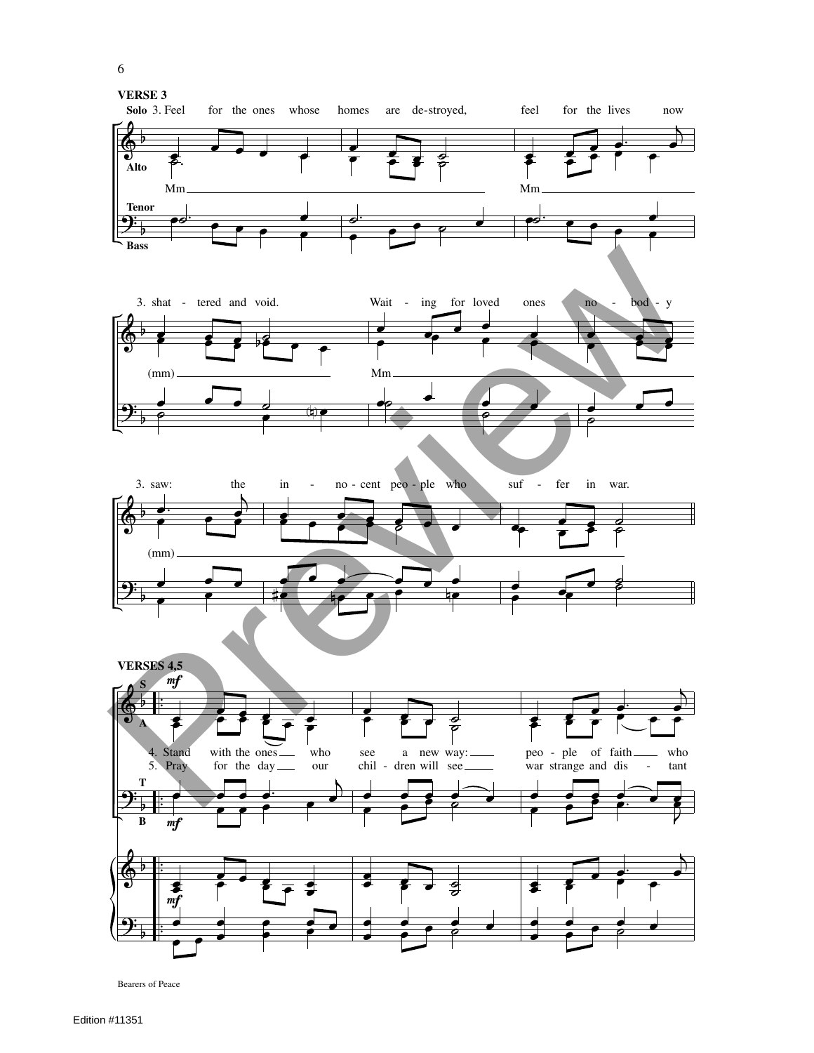

Bearers of Peace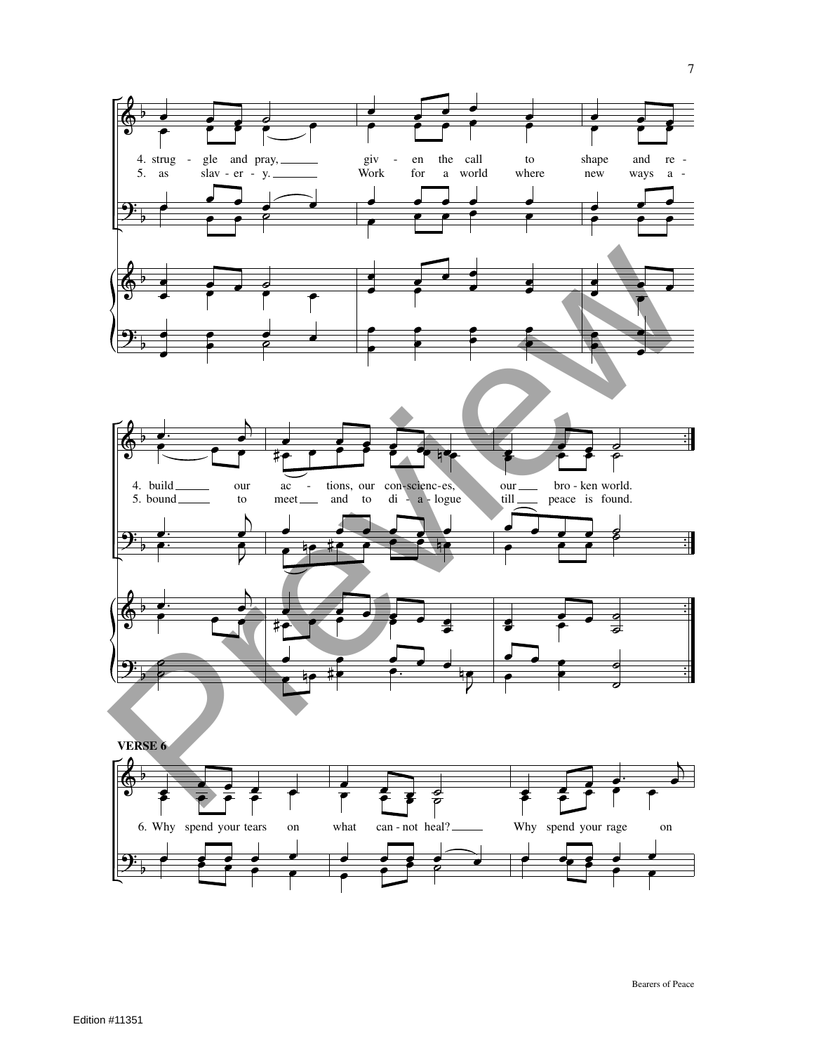

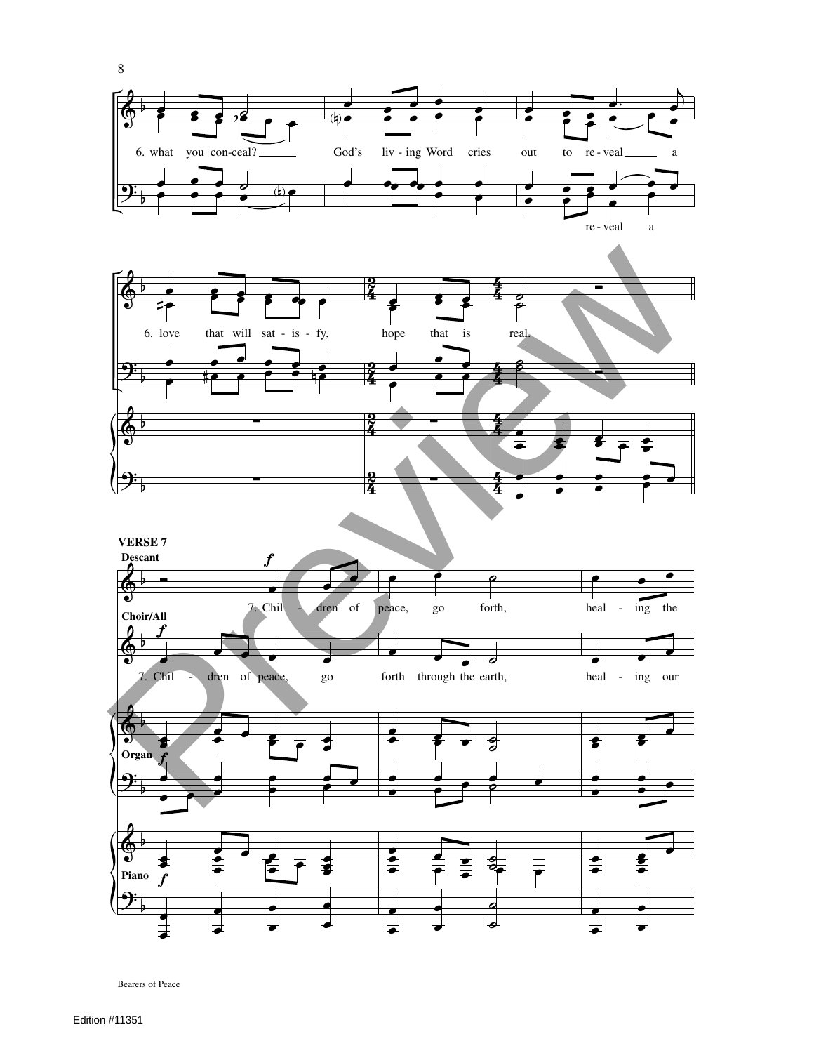

Bearers of Peace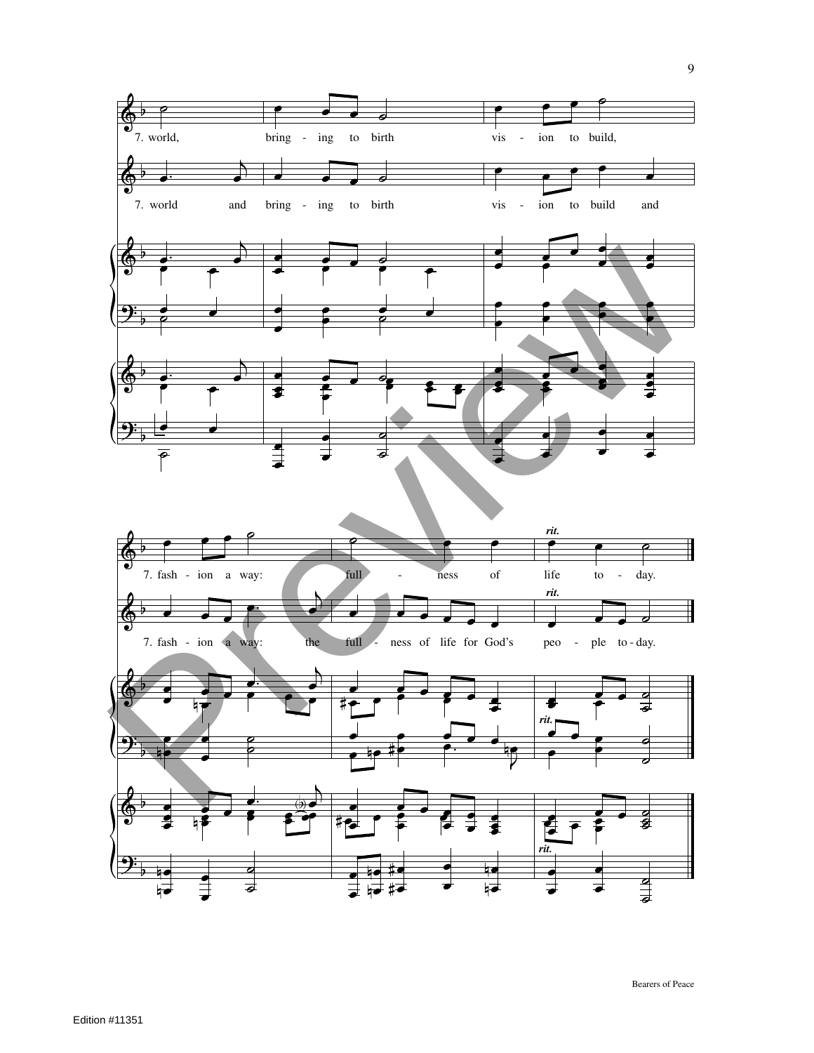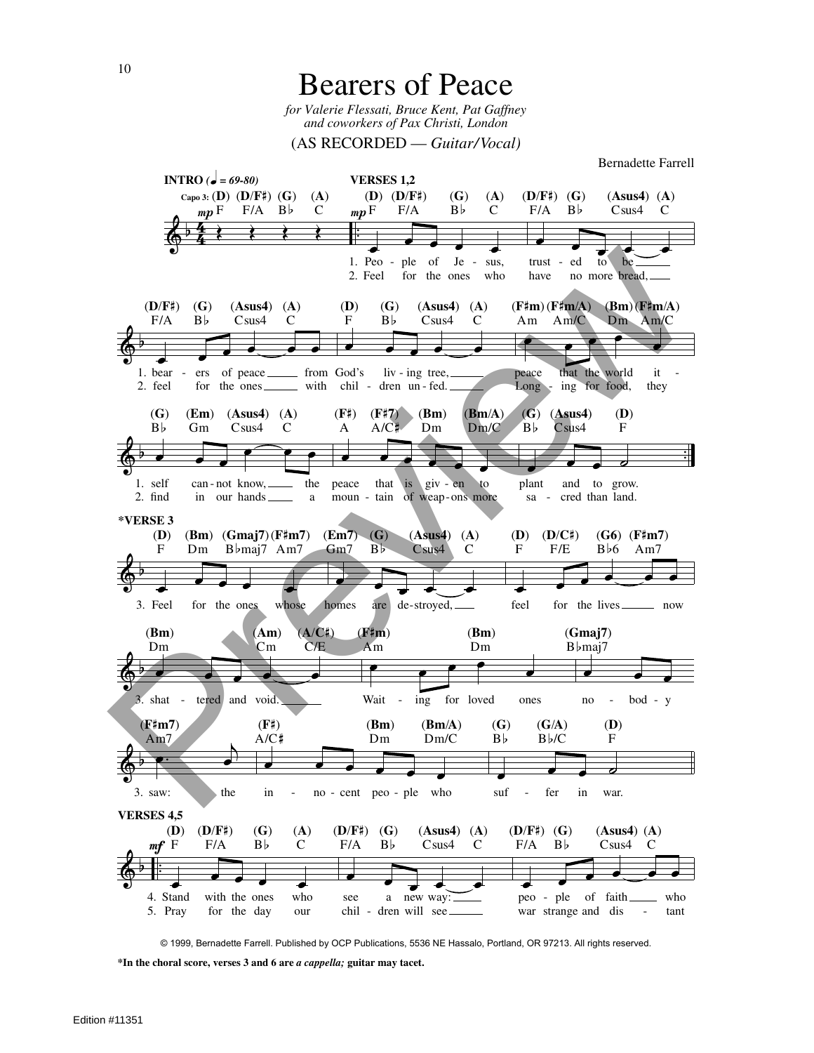**Bearers of Peace** for Valerie Flessati, Bruce Kent, Pat Gaffney and coworkers of Pax Christi, London

 $(AS RECORDED - Guitar/Vocal)$ 



© 1999, Bernadette Farrell. Published by OCP Publications, 5536 NE Hassalo, Portland, OR 97213. All rights reserved.

\*In the choral score, verses 3 and 6 are a cappella; guitar may tacet.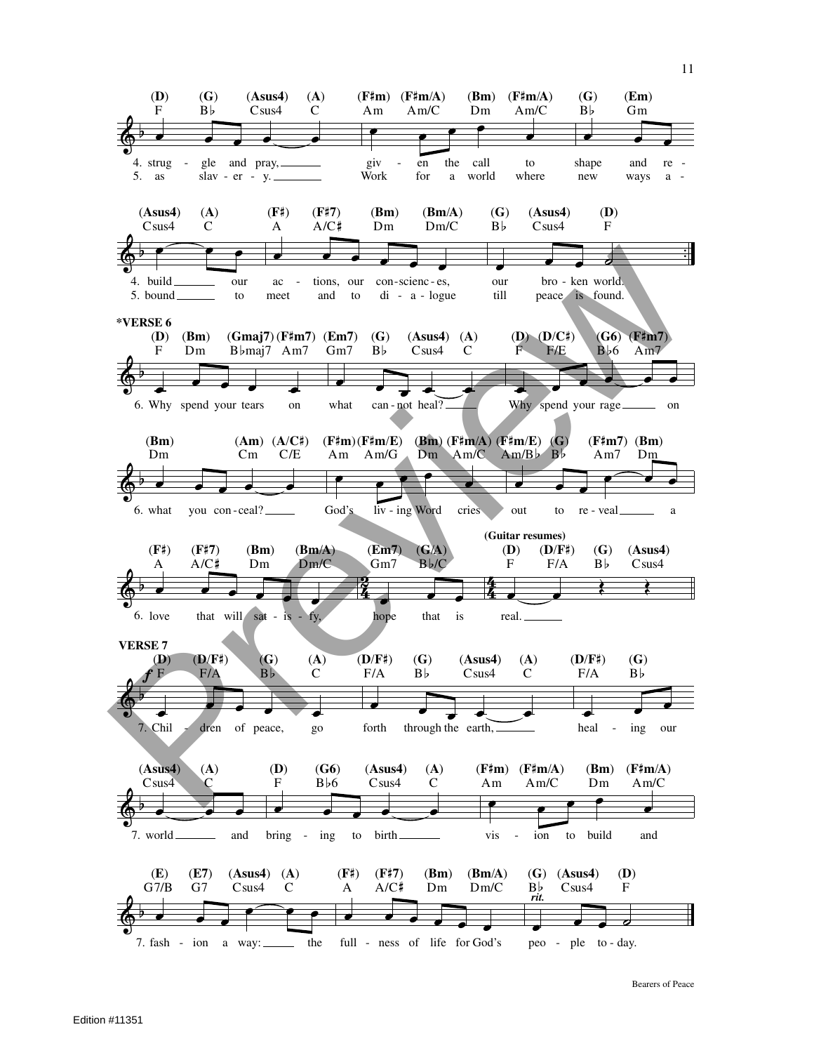